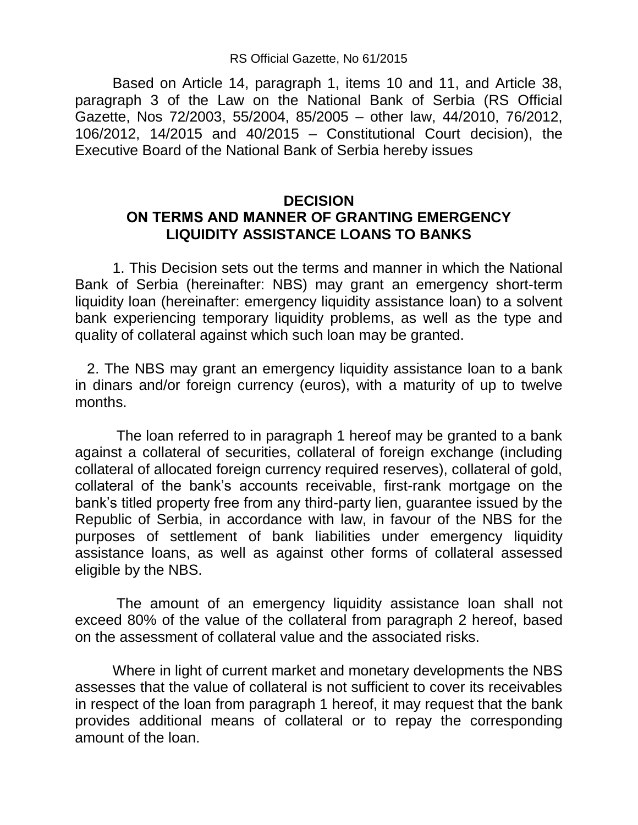## RS Official Gazette, No 61/2015

Based on Article 14, paragraph 1, items 10 and 11, and Article 38, paragraph 3 of the Law on the National Bank of Serbia (RS Official Gazette, Nos 72/2003, 55/2004, 85/2005 – other law, 44/2010, 76/2012, 106/2012, 14/2015 and 40/2015 – Constitutional Court decision), the Executive Board of the National Bank of Serbia hereby issues

## **DECISION ОN TERMS AND MANNER OF GRANTING EMERGENCY LIQUIDITY ASSISTANCE LOANS TO BANKS**

1. This Decision sets out the terms and manner in which the National Bank of Serbia (hereinafter: NBS) may grant an emergency short-term liquidity loan (hereinafter: emergency liquidity assistance loan) to a solvent bank experiencing temporary liquidity problems, as well as the type and quality of collateral against which such loan may be granted.

 2. The NBS may grant an emergency liquidity assistance loan to a bank in dinars and/or foreign currency (euros), with a maturity of up to twelve months.

The loan referred to in paragraph 1 hereof may be granted to a bank against a collateral of securities, collateral of foreign exchange (including collateral of allocated foreign currency required reserves), collateral of gold, collateral of the bank's accounts receivable, first-rank mortgage on the bank's titled property free from any third-party lien, guarantee issued by the Republic of Serbia, in accordance with law, in favour of the NBS for the purposes of settlement of bank liabilities under emergency liquidity assistance loans, as well as against other forms of collateral assessed eligible by the NBS.

The amount of an emergency liquidity assistance loan shall not exceed 80% of the value of the collateral from paragraph 2 hereof, based on the assessment of collateral value and the associated risks.

Where in light of current market and monetary developments the NBS assesses that the value of collateral is not sufficient to cover its receivables in respect of the loan from paragraph 1 hereof, it may request that the bank provides additional means of collateral or to repay the corresponding amount of the loan.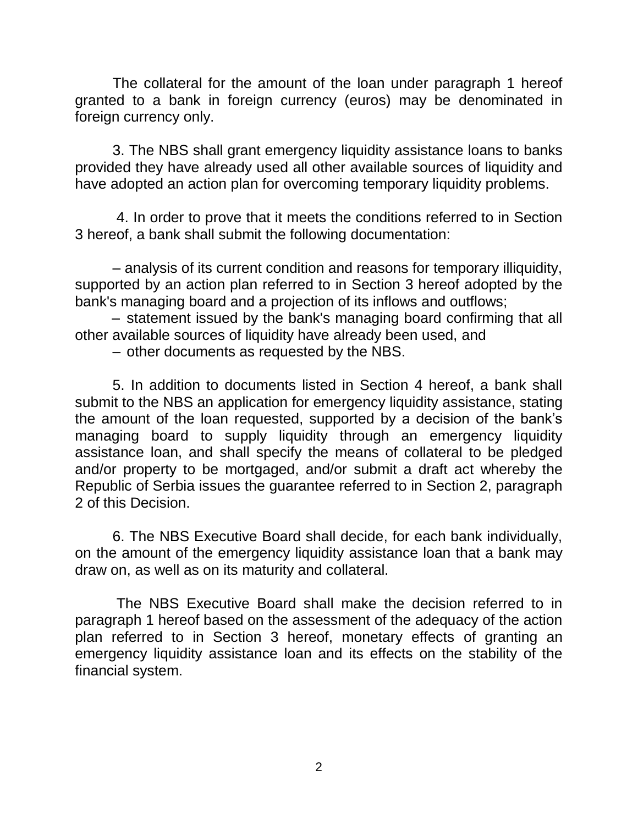The collateral for the amount of the loan under paragraph 1 hereof granted to a bank in foreign currency (euros) may be denominated in foreign currency only.

3. The NBS shall grant emergency liquidity assistance loans to banks provided they have already used all other available sources of liquidity and have adopted an action plan for overcoming temporary liquidity problems.

4. In order to prove that it meets the conditions referred to in Section 3 hereof, a bank shall submit the following documentation:

– analysis of its current condition and reasons for temporary illiquidity, supported by an action plan referred to in Section 3 hereof adopted by the bank's managing board and a projection of its inflows and outflows;

– statement issued by the bank's managing board confirming that all other available sources of liquidity have already been used, and

– other documents as requested by the NBS.

5. In addition to documents listed in Section 4 hereof, a bank shall submit to the NBS an application for emergency liquidity assistance, stating the amount of the loan requested, supported by a decision of the bank's managing board to supply liquidity through an emergency liquidity assistance loan, and shall specify the means of collateral to be pledged and/or property to be mortgaged, and/or submit a draft act whereby the Republic of Serbia issues the guarantee referred to in Section 2, paragraph 2 of this Decision.

6. The NBS Executive Board shall decide, for each bank individually, on the amount of the emergency liquidity assistance loan that a bank may draw on, as well as on its maturity and collateral.

The NBS Executive Board shall make the decision referred to in paragraph 1 hereof based on the assessment of the adequacy of the action plan referred to in Section 3 hereof, monetary effects of granting an emergency liquidity assistance loan and its effects on the stability of the financial system.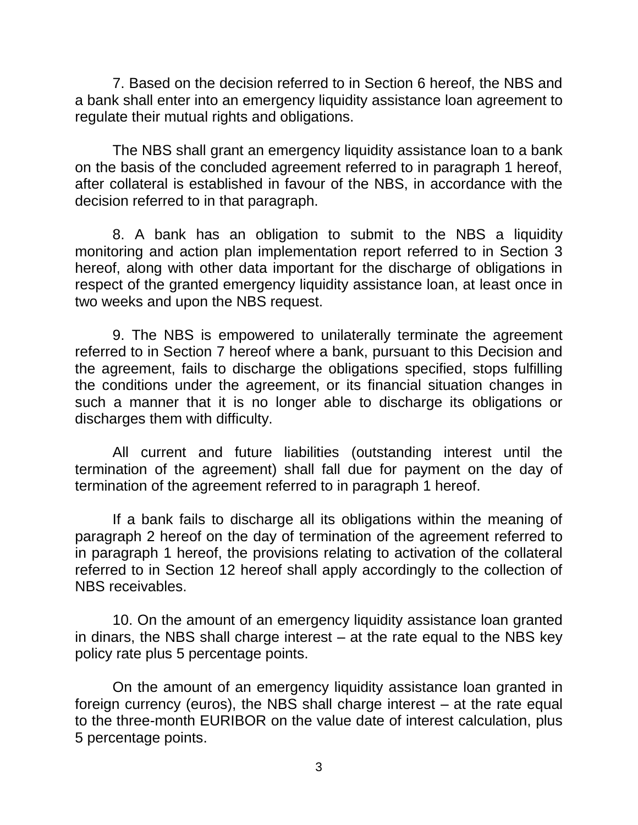7. Based on the decision referred to in Section 6 hereof, the NBS and a bank shall enter into an emergency liquidity assistance loan agreement to regulate their mutual rights and obligations.

The NBS shall grant an emergency liquidity assistance loan to a bank on the basis of the concluded agreement referred to in paragraph 1 hereof, after collateral is established in favour of the NBS, in accordance with the decision referred to in that paragraph.

8. A bank has an obligation to submit to the NBS a liquidity monitoring and action plan implementation report referred to in Section 3 hereof, along with other data important for the discharge of obligations in respect of the granted emergency liquidity assistance loan, at least once in two weeks and upon the NBS request.

9. The NBS is empowered to unilaterally terminate the agreement referred to in Section 7 hereof where a bank, pursuant to this Decision and the agreement, fails to discharge the obligations specified, stops fulfilling the conditions under the agreement, or its financial situation changes in such a manner that it is no longer able to discharge its obligations or discharges them with difficulty.

All current and future liabilities (outstanding interest until the termination of the agreement) shall fall due for payment on the day of termination of the agreement referred to in paragraph 1 hereof.

If a bank fails to discharge all its obligations within the meaning of paragraph 2 hereof on the day of termination of the agreement referred to in paragraph 1 hereof, the provisions relating to activation of the collateral referred to in Section 12 hereof shall apply accordingly to the collection of NBS receivables.

10. On the amount of an emergency liquidity assistance loan granted in dinars, the NBS shall charge interest – at the rate equal to the NBS key policy rate plus 5 percentage points.

On the amount of an emergency liquidity assistance loan granted in foreign currency (euros), the NBS shall charge interest – at the rate equal to the three-month EURIBOR on the value date of interest calculation, plus 5 percentage points.